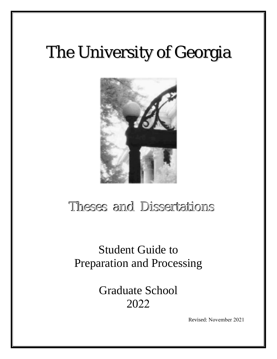# The University of Georgia



# Theses and Dissertations

Student Guide to Preparation and Processing

> Graduate School 2022

> > Revised: November 2021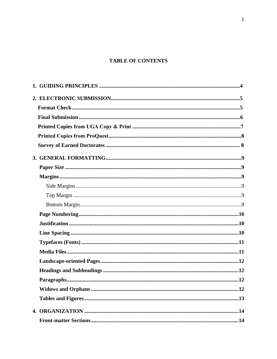## **TABLE OF CONTENTS**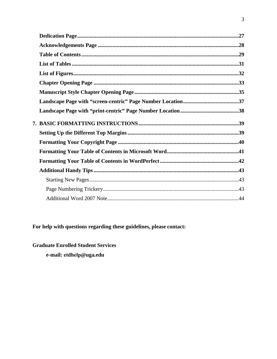For help with questions regarding these guidelines, please contact:

**Graduate Enrolled Student Services** e-mail: etdhelp@uga.edu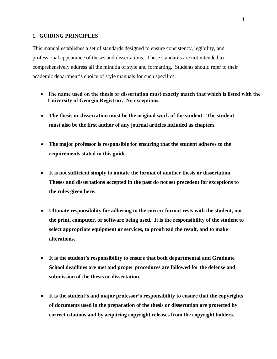#### **1. GUIDING PRINCIPLES**

This manual establishes a set of standards designed to ensure consistency, legibility, and professional appearance of theses and dissertations. These standards are not intended to comprehensively address all the minutia of style and formatting. Students should refer to their academic department's choice of style manuals for such specifics.

- T**he name used on the thesis or dissertation must exactly match that which is listed with the University of Georgia Registrar. No exceptions.**
- **The thesis or dissertation must be the original work of the student. The student must also be the first author of any journal articles included as chapters.**
- **The major professor is responsible for ensuring that the student adheres to the requirements stated in this guide.**
- **It is not sufficient simply to imitate the format of another thesis or dissertation. Theses and dissertations accepted in the past do not set precedent for exceptions to the rules given here.**
- **Ultimate responsibility for adhering to the correct format rests with the student, not the print, computer, or software being used. It is the responsibility of the student to select appropriate equipment or services, to proofread the result, and to make alterations.**
- **It is the student's responsibility to ensure that both departmental and Graduate School deadlines are met and proper procedures are followed for the defense and submission of the thesis or dissertation.**
- **It is the student's and major professor's responsibility to ensure that the copyrights of documents used in the preparation of the thesis or dissertation are protected by correct citations and by acquiring copyright releases from the copyright holders.**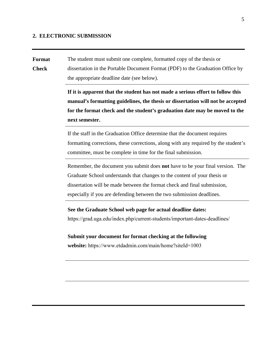#### **2. ELECTRONIC SUBMISSION**

**Format Check** The student must submit one complete, formatted copy of the thesis or dissertation in the Portable Document Format (PDF) to the Graduation Office by the appropriate deadline date (see below).

> **If it is apparent that the student has not made a serious effort to follow this manual's formatting guidelines, the thesis or dissertation will not be accepted for the format check and the student's graduation date may be moved to the next semester.**

> If the staff in the Graduation Office determine that the document requires formatting corrections, these corrections, along with any required by the student's committee, must be complete in time for the final submission.

> Remember, the document you submit does **not** have to be your final version. The Graduate School understands that changes to the content of your thesis or dissertation will be made between the format check and final submission, especially if you are defending between the two submission deadlines.

**See the Graduate School [web page for actual deadline dates:](http://grad.uga.edu/index.php/current-students/policies-procedures/theses-dissertations-guidelines/theses-and-dissertations-overview/)**

[https://grad.uga.edu/index.php/current-students/important-dates-deadlines/](http://grad.uga.edu/index.php/current-students/policies-procedures/theses-dissertations-guidelines/theses-and-dissertations-overview/)

**Submit your document for format checking at the following website:** https://www.etdadmin.com/main/home?siteId=1003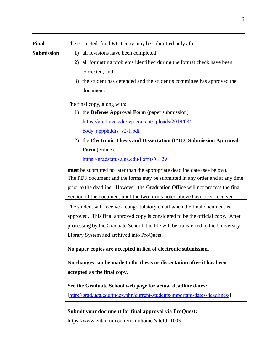**Submission**

- 1) all revisions have been completed
	- 2) all formatting problems identified during the format check have been corrected, and
	- 3) the student has defended and the student's committee has approved the document.

The final copy, along with:

- 1) the **Defense Approval Form** (paper submission) [https://grad.uga.edu/wp-content/uploads/2019/08/](http://grad.uga.edu/index.php/current-students/forms/) body appphddis  $v2$ -1.pdf
- 2) the **Electronic Thesis and Dissertation (ETD) Submission Approval Form** [\(online\)](http://grad.uga.edu/index.php/current-students/forms/) https://gradstatus.uga.edu/Forms/G129

**must** be submitted no later than the appropriate deadline date (see below). The PDF document and the forms may be submitted in any order and at any time prior to the deadline. However, the Graduation Office will not process the final version of the document until the two forms noted above have been received.

The student will receive a congratulatory email when the final document is approved. This final approved copy is considered to be the official copy. After processing by the Graduate School, the file will be transferred to the University Library System and archived into ProQuest.

**No paper copies are accepted in lieu of electronic submission.**

**No changes can be made to the thesis or dissertation after it has been accepted as the final copy.**

**See the Graduate School web page for actual deadline dates:** [<http://grad.uga.edu/index.php/current-students/important-dates-deadlines/>]

#### **Submit your document for final approval via ProQuest:**

[https://www.etdadmin.com](https://getd.libs.uga.edu/)/main/home?siteId=1003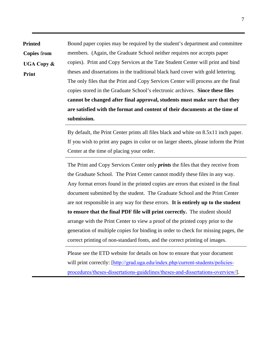**Printed** Bound paper copies may be required by the student's department and committee members. (Again, the Graduate School neither requires nor accepts paper copies). Print and Copy Services at the Tate Student Center will print and bind theses and dissertations in the traditional black hard cover with gold lettering. The only files that the Print and Copy Services Center will process are the final copies stored in the Graduate School's electronic archives. **Since these files cannot be changed after final approval, students must make sure that they are satisfied with the format and content of their documents at the time of submission. Copies** f**rom UGA Copy & Print**

> By default, the Print Center prints all files black and white on 8.5x11 inch paper. If you wish to print any pages in color or on larger sheets, please inform the Print Center at the time of placing your order.

> The Print and Copy Services Center only *prints* the files that they receive from the Graduate School. The Print Center cannot modify these files in any way. Any format errors found in the printed copies are errors that existed in the final document submitted by the student. The Graduate School and the Print Center are not responsible in any way for these errors. **It is entirely up to the student to ensure that the final PDF file will print correctly.** The student should arrange with the Print Center to view a proof of the printed copy prior to the generation of multiple copies for binding in order to check for missing pages, the correct printing of non-standard fonts, and the correct printing of images.

Please see the ETD website for details on how to ensure that your document will print correctly: [[http://grad.uga.edu/index.php/current-students/policies](http://grad.uga.edu/index.php/current-students/policies-procedures/theses-dissertations-guidelines/theses-and-dissertations-overview/)[procedures/theses-dissertations-guidelines/theses-and-dissertations-overview/](http://grad.uga.edu/index.php/current-students/policies-procedures/theses-dissertations-guidelines/theses-and-dissertations-overview/)].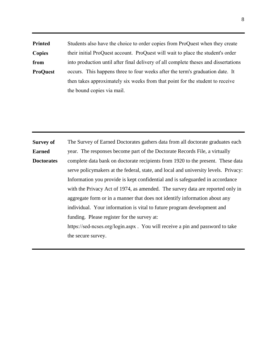**Printed Copies from ProQuest** Students also have the choice to order copies from ProQuest when they create their initial ProQuest account. ProQuest will wait to place the student's order into production until after final delivery of all complete theses and dissertations occurs. This happens three to four weeks after the term's graduation date. It then takes approximately six weeks from that point for the student to receive the bound copies via mail.

**Survey of Earned Doctorates** The Survey of Earned Doctorates gathers data from all doctorate graduates each year. The responses become part of the Doctorate Records File, a virtually complete data bank on doctorate recipients from 1920 to the present. These data serve policymakers at the federal, state, and local and university levels. Privacy: Information you provide is kept confidential and is safeguarded in accordance with the Privacy Act of 1974, as amended. The survey data are reported only in aggregate form or in a manner that does not identify information about any individual. Your information is vital to future program development and funding. Please register for the survey at: [https://sed-ncses.org/login.aspx](http://survey.norc.uchicago.edu/doctorate) . You will receive a pin and password to take the secure survey.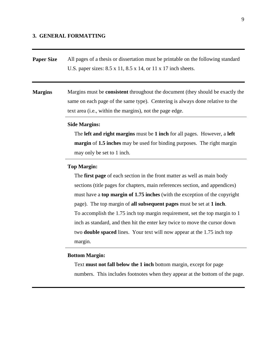#### **3. GENERAL FORMATTING**

**Paper Size** All pages of a thesis or dissertation must be printable on the following standard U.S. paper sizes: 8.5 x 11, 8.5 x 14, or 11 x 17 inch sheets.

**Margins** Margins must be **consistent** throughout the document (they should be exactly the same on each page of the same type). Centering is always done relative to the text area (i.e., within the margins), not the page edge.

#### **Side Margins:**

 The **left and right margins** must be **1 inch** for all pages. However, a **left margin** of **1.5 inches** may be used for binding purposes. The right margin may only be set to 1 inch.

#### **Top Margin:**

 The **first page** of each section in the front matter as well as main body sections (title pages for chapters, main references section, and appendices) must have a **top margin of 1.75 inches** (with the exception of the copyright page). The top margin of **all subsequent pages** must be set at **1 inch**. To accomplish the 1.75 inch top margin requirement, set the top margin to 1 inch as standard, and then hit the enter key twice to move the cursor down two **double spaced** lines. Your text will now appear at the 1.75 inch top margin.

#### **Bottom Margin:**

 Text **must not fall below the 1 inch** bottom margin, except for page numbers. This includes footnotes when they appear at the bottom of the page.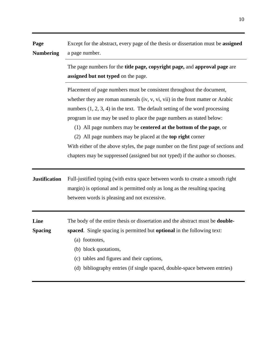| Page                   | Except for the abstract, every page of the thesis or dissertation must be assigned                                                                                                                                                                                                                                                                                                                                                                                                                                                                                                                                                           |
|------------------------|----------------------------------------------------------------------------------------------------------------------------------------------------------------------------------------------------------------------------------------------------------------------------------------------------------------------------------------------------------------------------------------------------------------------------------------------------------------------------------------------------------------------------------------------------------------------------------------------------------------------------------------------|
| <b>Numbering</b>       | a page number.                                                                                                                                                                                                                                                                                                                                                                                                                                                                                                                                                                                                                               |
|                        | The page numbers for the <b>title page, copyright page, and approval page</b> are<br>assigned but not typed on the page.                                                                                                                                                                                                                                                                                                                                                                                                                                                                                                                     |
|                        | Placement of page numbers must be consistent throughout the document,<br>whether they are roman numerals (iv, v, vi, vii) in the front matter or Arabic<br>numbers $(1, 2, 3, 4)$ in the text. The default setting of the word processing<br>program in use may be used to place the page numbers as stated below:<br>(1) All page numbers may be <b>centered at the bottom of the page</b> , or<br>(2) All page numbers may be placed at the <b>top right</b> corner<br>With either of the above styles, the page number on the first page of sections and<br>chapters may be suppressed (assigned but not typed) if the author so chooses. |
| <b>Justification</b>   | Full-justified typing (with extra space between words to create a smooth right<br>margin) is optional and is permitted only as long as the resulting spacing<br>between words is pleasing and not excessive.                                                                                                                                                                                                                                                                                                                                                                                                                                 |
| Line<br><b>Spacing</b> | The body of the entire thesis or dissertation and the abstract must be <b>double-</b><br>spaced. Single spacing is permitted but optional in the following text:<br>(a) footnotes,<br>(b) block quotations,<br>(c) tables and figures and their captions,<br>(d) bibliography entries (if single spaced, double-space between entries)                                                                                                                                                                                                                                                                                                       |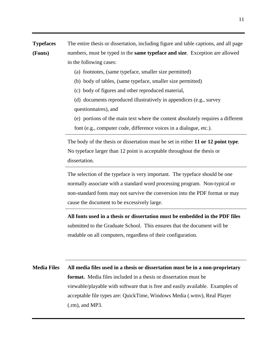**Typefaces (Fonts)** The entire thesis or dissertation, including figure and table captions, and all page numbers, must be typed in the **same typeface and size**. Exception are allowed in the following cases:

- (a) footnotes, (same typeface, smaller size permitted)
- (b) body of tables, (same typeface, smaller size permitted)
- (c) body of figures and other reproduced material,
- (d) documents reproduced illustratively in appendices (e.g., survey questionnaires), and
- (e) portions of the main text where the content absolutely requires a different
- font (e.g., computer code, difference voices in a dialogue, etc.).

The body of the thesis or dissertation must be set in either **11 or 12 point type**. No typeface larger than 12 point is acceptable throughout the thesis or dissertation.

The selection of the typeface is very important. The typeface should be one normally associate with a standard word processing program. Non-typical or non-standard fonts may not survive the conversion into the PDF format or may cause the document to be excessively large.

**All fonts used in a thesis or dissertation must be embedded in the PDF files** submitted to the Graduate School. This ensures that the document will be readable on all computers, regardless of their configuration.

**Media Files All media files used in a thesis or dissertation must be in a non-proprietary format.** Media files included in a thesis or dissertation must be viewable/playable with software that is free and easily available. Examples of acceptable file types are: QuickTime, Windows Media (.wmv), Real Player (.rm), and MP3.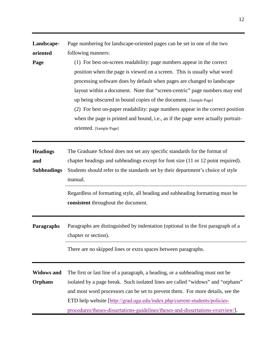| Landscape-<br>oriented<br>Page               | Page numbering for landscape-oriented pages can be set in one of the two<br>following manners:<br>(1) For best on-screen readability: page numbers appear in the correct<br>position when the page is viewed on a screen. This is usually what word<br>processing software does by default when pages are changed to landscape<br>layout within a document. Note that "screen-centric" page numbers may end<br>up being obscured in bound copies of the document. [Sample Page]<br>(2) For best on-paper readability: page numbers appear in the correct position<br>when the page is printed and bound, i.e., as if the page were actually portrait-<br>oriented. [Sample Page] |
|----------------------------------------------|----------------------------------------------------------------------------------------------------------------------------------------------------------------------------------------------------------------------------------------------------------------------------------------------------------------------------------------------------------------------------------------------------------------------------------------------------------------------------------------------------------------------------------------------------------------------------------------------------------------------------------------------------------------------------------|
| <b>Headings</b><br>and<br><b>Subheadings</b> | The Graduate School does not set any specific standards for the format of<br>chapter headings and subheadings except for font size (11 or 12 point required).<br>Students should refer to the standards set by their department's choice of style<br>manual.<br>Regardless of formatting style, all heading and subheading formatting must be<br>consistent throughout the document.                                                                                                                                                                                                                                                                                             |
| <b>Paragraphs</b>                            | Paragraphs are distinguished by indentation (optional in the first paragraph of a<br>chapter or section).<br>There are no skipped lines or extra spaces between paragraphs.                                                                                                                                                                                                                                                                                                                                                                                                                                                                                                      |
| <b>Widows and</b><br><b>Orphans</b>          | The first or last line of a paragraph, a heading, or a subheading must not be<br>isolated by a page break. Such isolated lines are called "widows" and "orphans"<br>and most word processors can be set to prevent them. For more details, see the<br>ETD help website [http://grad.uga.edu/index.php/current-students/policies-<br>procedures/theses-dissertations-guidelines/theses-and-dissertations-overview/].                                                                                                                                                                                                                                                              |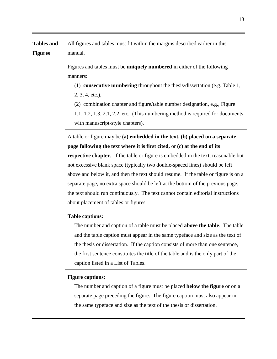**Tables and Figures** All figures and tables must fit within the margins described earlier in this manual.

> Figures and tables must be **uniquely numbered** in either of the following manners:

(1) **consecutive numbering** throughout the thesis/dissertation (e.g. Table 1, 2, 3, 4, etc.),

(2) combination chapter and figure/table number designation, e.g., Figure

 1.1, 1.2, 1.3, 2.1, 2.2, etc.. (This numbering method is required for documents with manuscript-style chapters).

A table or figure may be **(a) embedded in the text, (b) placed on a separate page following the text where it is first cited,** or **(c) at the end of its respective chapter**. If the table or figure is embedded in the text, reasonable but not excessive blank space (typically two double-spaced lines) should be left above and below it, and then the text should resume. If the table or figure is on a separate page, no extra space should be left at the bottom of the previous page; the text should run continuously. The text cannot contain editorial instructions about placement of tables or figures.

#### **Table captions:**

 The number and caption of a table must be placed **above the table**. The table and the table caption must appear in the same typeface and size as the text of the thesis or dissertation. If the caption consists of more than one sentence, the first sentence constitutes the title of the table and is the only part of the caption listed in a List of Tables.

#### **Figure captions:**

 The number and caption of a figure must be placed **below the figure** or on a separate page preceding the figure. The figure caption must also appear in the same typeface and size as the text of the thesis or dissertation.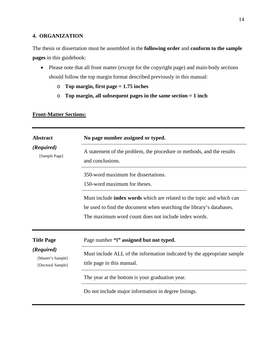## **4. ORGANIZATION**

The thesis or dissertation must be assembled in the **following order** and **conform to the sample pages** in this guidebook:

- Please note that all front matter (except for the copyright page) and main-body sections should follow the top margin format described previously in this manual:
	- o **Top margin, first page = 1.75 inches**
	- o **Top margin, all subsequent pages in the same section = 1 inch**

## **Front-Matter Sections:**

| <b>Abstract</b>                                      | No page number assigned or typed.                                                                                                                                                                            |  |
|------------------------------------------------------|--------------------------------------------------------------------------------------------------------------------------------------------------------------------------------------------------------------|--|
| (Required)<br>[Sample Page]                          | A statement of the problem, the procedure or methods, and the results<br>and conclusions.                                                                                                                    |  |
|                                                      | 350-word maximum for dissertations.<br>150-word maximum for theses.                                                                                                                                          |  |
|                                                      | Must include <b>index words</b> which are related to the topic and which can<br>be used to find the document when searching the library's databases.<br>The maximum word count does not include index words. |  |
| <b>Title Page</b>                                    | Page number "i" assigned but not typed.                                                                                                                                                                      |  |
| (Required)<br>[Master's Sample]<br>[Doctoral Sample] | Must include ALL of the information indicated by the appropriate sample<br>title page in this manual.                                                                                                        |  |
|                                                      | The year at the bottom is your graduation year.                                                                                                                                                              |  |
|                                                      | Do not include major information in degree listings.                                                                                                                                                         |  |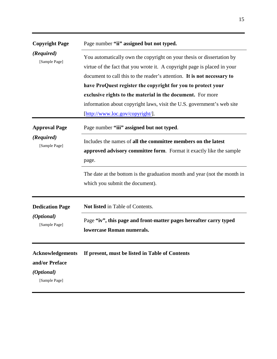| <b>Copyright Page</b>                                   | Page number "ii" assigned but not typed.                                                                                                      |  |
|---------------------------------------------------------|-----------------------------------------------------------------------------------------------------------------------------------------------|--|
| (Required)<br>[Sample Page]                             | You automatically own the copyright on your thesis or dissertation by                                                                         |  |
|                                                         | virtue of the fact that you wrote it. A copyright page is placed in your                                                                      |  |
|                                                         | document to call this to the reader's attention. It is not necessary to                                                                       |  |
|                                                         | have ProQuest register the copyright for you to protect your                                                                                  |  |
|                                                         | exclusive rights to the material in the document. For more                                                                                    |  |
|                                                         | information about copyright laws, visit the U.S. government's web site                                                                        |  |
|                                                         | [http://www.loc.gov/copyright/].                                                                                                              |  |
| <b>Approval Page</b>                                    | Page number "iii" assigned but not typed.                                                                                                     |  |
| (Required)<br>[Sample Page]                             | Includes the names of all the committee members on the latest<br>approved advisory committee form. Format it exactly like the sample<br>page. |  |
|                                                         | The date at the bottom is the graduation month and year (not the month in<br>which you submit the document).                                  |  |
| <b>Dedication Page</b>                                  | Not listed in Table of Contents.                                                                                                              |  |
| (Optional)<br>[Sample Page]                             | Page "iv", this page and front-matter pages hereafter carry typed<br>lowercase Roman numerals.                                                |  |
| <b>Acknowledgements</b><br>and/or Preface<br>(Optional) | If present, must be listed in Table of Contents                                                                                               |  |
| [Sample Page]                                           |                                                                                                                                               |  |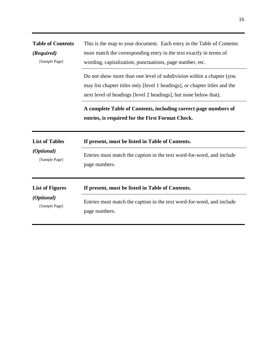| <b>Table of Contents</b> | This is the map to your document. Each entry in the Table of Contents                                                                                                                                                  |
|--------------------------|------------------------------------------------------------------------------------------------------------------------------------------------------------------------------------------------------------------------|
| (Required)               | must match the corresponding entry in the text exactly in terms of                                                                                                                                                     |
| [Sample Page]            | wording, capitalization, punctuations, page number, etc.                                                                                                                                                               |
|                          | Do not show more than one level of subdivision within a chapter (you<br>may list chapter titles only [level 1 headings], or chapter titles and the<br>next level of headings [level 2 headings], but none below that). |
|                          | A complete Table of Contents, including correct page numbers of<br>entries, is required for the First Format Check.                                                                                                    |
| <b>List of Tables</b>    | If present, must be listed in Table of Contents.                                                                                                                                                                       |
| (Optional)               | Entries must match the caption in the text word-for-word, and include                                                                                                                                                  |
| [Sample Page]            | page numbers.                                                                                                                                                                                                          |
| <b>List of Figures</b>   | If present, must be listed in Table of Contents.                                                                                                                                                                       |
| (Optional)               | Entries must match the caption in the text word-for-word, and include                                                                                                                                                  |
| [Sample Page]            | page numbers.                                                                                                                                                                                                          |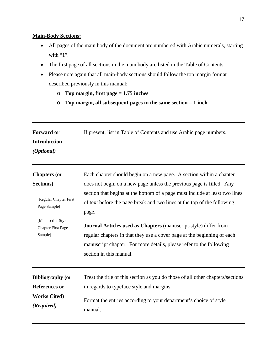## **Main-Body Sections:**

- All pages of the main body of the document are numbered with Arabic numerals, starting with "1".
- The first page of all sections in the main body are listed in the Table of Contents.
- Please note again that all main-body sections should follow the top margin format described previously in this manual:
	- o **Top margin, first page = 1.75 inches**
	- o **Top margin, all subsequent pages in the same section = 1 inch**

| <b>Forward or</b><br><b>Introduction</b><br>(Optional)    | If present, list in Table of Contents and use Arabic page numbers.                                                                                                                                                                                   |
|-----------------------------------------------------------|------------------------------------------------------------------------------------------------------------------------------------------------------------------------------------------------------------------------------------------------------|
| <b>Chapters (or</b>                                       | Each chapter should begin on a new page. A section within a chapter                                                                                                                                                                                  |
| Sections)                                                 | does not begin on a new page unless the previous page is filled. Any                                                                                                                                                                                 |
| [Regular Chapter First<br>Page Sample]                    | section that begins at the bottom of a page must include at least two lines<br>of text before the page break and two lines at the top of the following<br>page.                                                                                      |
| [Manuscript-Style<br><b>Chapter First Page</b><br>Sample] | <b>Journal Articles used as Chapters</b> (manuscript-style) differ from<br>regular chapters in that they use a cover page at the beginning of each<br>manuscript chapter. For more details, please refer to the following<br>section in this manual. |
| <b>Bibliography (or</b>                                   | Treat the title of this section as you do those of all other chapters/sections                                                                                                                                                                       |
| <b>References or</b>                                      | in regards to typeface style and margins.                                                                                                                                                                                                            |
| <b>Works Cited)</b>                                       | Format the entries according to your department's choice of style                                                                                                                                                                                    |
| (Required)                                                | manual.                                                                                                                                                                                                                                              |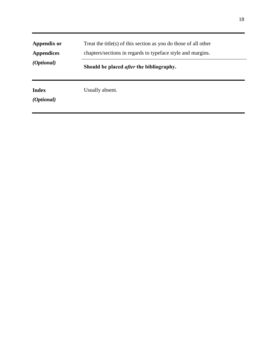| Appendix or<br><b>Appendices</b><br>( <i>Optional</i> ) | Treat the title(s) of this section as you do those of all other<br>chapters/sections in regards to typeface style and margins. |  |
|---------------------------------------------------------|--------------------------------------------------------------------------------------------------------------------------------|--|
|                                                         | Should be placed <i>after</i> the bibliography.                                                                                |  |
| <b>Index</b><br><i>(Optional)</i>                       | Usually absent.                                                                                                                |  |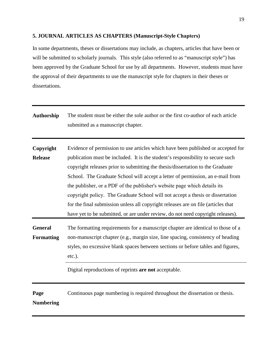## **5. JOURNAL ARTICLES AS CHAPTERS (Manuscript-Style Chapters)**

In some departments, theses or dissertations may include, as chapters, articles that have been or will be submitted to scholarly journals. This style (also referred to as "manuscript style") has been approved by the Graduate School for use by all departments. However, students must have the approval of their departments to use the manuscript style for chapters in their theses or dissertations.

| <b>Authorship</b>                   | The student must be either the sole author or the first co-author of each article<br>submitted as a manuscript chapter.                                                                                                                                                                                                                                                                                                                                                                                                                                                                                                                                                        |
|-------------------------------------|--------------------------------------------------------------------------------------------------------------------------------------------------------------------------------------------------------------------------------------------------------------------------------------------------------------------------------------------------------------------------------------------------------------------------------------------------------------------------------------------------------------------------------------------------------------------------------------------------------------------------------------------------------------------------------|
| Copyright<br><b>Release</b>         | Evidence of permission to use articles which have been published or accepted for<br>publication must be included. It is the student's responsibility to secure such<br>copyright releases prior to submitting the thesis/dissertation to the Graduate<br>School. The Graduate School will accept a letter of permission, an e-mail from<br>the publisher, or a PDF of the publisher's website page which details its<br>copyright policy. The Graduate School will not accept a thesis or dissertation<br>for the final submission unless all copyright releases are on file (articles that<br>have yet to be submitted, or are under review, do not need copyright releases). |
| <b>General</b><br><b>Formatting</b> | The formatting requirements for a manuscript chapter are identical to those of a<br>non-manuscript chapter (e.g., margin size, line spacing, consistency of heading<br>styles, no excessive blank spaces between sections or before tables and figures,<br>$etc.$ ).                                                                                                                                                                                                                                                                                                                                                                                                           |
|                                     | Digital reproductions of reprints are not acceptable.                                                                                                                                                                                                                                                                                                                                                                                                                                                                                                                                                                                                                          |
| Page<br><b>Numbering</b>            | Continuous page numbering is required throughout the dissertation or thesis.                                                                                                                                                                                                                                                                                                                                                                                                                                                                                                                                                                                                   |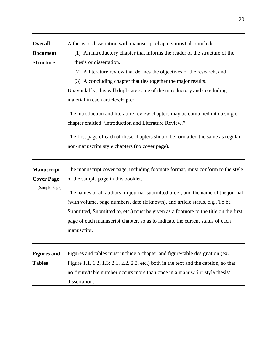| <b>Overall</b><br><b>Document</b><br><b>Structure</b> | A thesis or dissertation with manuscript chapters <b>must</b> also include:<br>(1) An introductory chapter that informs the reader of the structure of the<br>thesis or dissertation.<br>(2) A literature review that defines the objectives of the research, and<br>(3) A concluding chapter that ties together the major results.<br>Unavoidably, this will duplicate some of the introductory and concluding<br>material in each article/chapter. |
|-------------------------------------------------------|------------------------------------------------------------------------------------------------------------------------------------------------------------------------------------------------------------------------------------------------------------------------------------------------------------------------------------------------------------------------------------------------------------------------------------------------------|
|                                                       | The introduction and literature review chapters may be combined into a single<br>chapter entitled "Introduction and Literature Review."                                                                                                                                                                                                                                                                                                              |
|                                                       | The first page of each of these chapters should be formatted the same as regular<br>non-manuscript style chapters (no cover page).                                                                                                                                                                                                                                                                                                                   |
| <b>Manuscript</b><br><b>Cover Page</b>                | The manuscript cover page, including footnote format, must conform to the style<br>of the sample page in this booklet.                                                                                                                                                                                                                                                                                                                               |
| [Sample Page]                                         | The names of all authors, in journal-submitted order, and the name of the journal<br>(with volume, page numbers, date (if known), and article status, e.g., To be<br>Submitted, Submitted to, etc.) must be given as a footnote to the title on the first<br>page of each manuscript chapter, so as to indicate the current status of each<br>manuscript.                                                                                            |
| <b>Figures and</b><br><b>Tables</b>                   | Figures and tables must include a chapter and figure/table designation (ex.<br>Figure 1.1, 1.2, 1.3; 2.1, 2.2, 2.3, etc.) both in the text and the caption, so that<br>no figure/table number occurs more than once in a manuscript-style thesis/<br>dissertation.                                                                                                                                                                                   |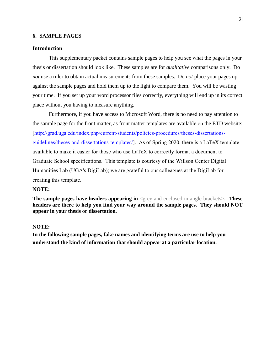#### **6. SAMPLE PAGES**

#### **Introduction**

This supplementary packet contains sample pages to help you see what the pages in your thesis or dissertation should look like. These samples are for *qualitative* comparisons only. Do *not* use a ruler to obtain actual measurements from these samples. Do *not* place your pages up against the sample pages and hold them up to the light to compare them. You will be wasting your time. If you set up your word processor files correctly, everything will end up in its correct place without you having to measure anything.

Furthermore, if you have access to Microsoft Word, there is no need to pay attention to the sample page for the front matter, as front matter templates are available on the ETD website: [[http://grad.uga.edu/index.php/current-students/policies-procedures/theses-dissertations](http://grad.uga.edu/index.php/current-students/policies-procedures/theses-dissertations-guidelines/theses-and-dissertations-templates/)guidelines/theses-and-dissertations-templates/]. As of Spring 2020, there is a LaTeX template available to make it easier for those who use LaTeX to correctly format a document to Graduate School specifications. This template is courtesy of the Willson Center Digital Humanities Lab (UGA's DigiLab); we are grateful to our colleagues at the DigiLab for creating this template.

#### **NOTE:**

**The sample pages have headers appearing in** <grey and enclosed in angle brackets>. These **headers are there to help you find your way around the sample pages. They should NOT appear in your thesis or dissertation.** 

#### **NOTE:**

**In the following sample pages, fake names and identifying terms are use to help you understand the kind of information that should appear at a particular location.**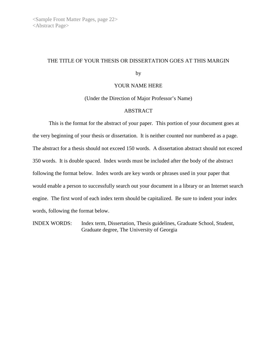## THE TITLE OF YOUR THESIS OR DISSERTATION GOES AT THIS MARGIN

by

#### YOUR NAME HERE

(Under the Direction of Major Professor's Name)

#### ABSTRACT

This is the format for the abstract of your paper. This portion of your document goes at the very beginning of your thesis or dissertation. It is neither counted nor numbered as a page. The abstract for a thesis should not exceed 150 words. A dissertation abstract should not exceed 350 words. It is double spaced. Index words must be included after the body of the abstract following the format below. Index words are key words or phrases used in your paper that would enable a person to successfully search out your document in a library or an Internet search engine. The first word of each index term should be capitalized. Be sure to indent your index words, following the format below.

INDEX WORDS: Index term, Dissertation, Thesis guidelines, Graduate School, Student, Graduate degree, The University of Georgia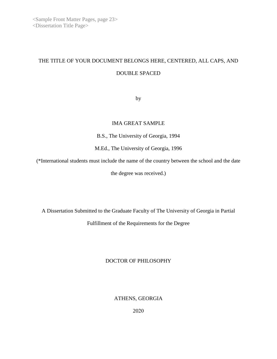# THE TITLE OF YOUR DOCUMENT BELONGS HERE, CENTERED, ALL CAPS, AND DOUBLE SPACED

by

## IMA GREAT SAMPLE

B.S., The University of Georgia, 1994

M.Ed., The University of Georgia, 1996

(\*International students must include the name of the country between the school and the date

the degree was received.)

A Dissertation Submitted to the Graduate Faculty of The University of Georgia in Partial Fulfillment of the Requirements for the Degree

DOCTOR OF PHILOSOPHY

ATHENS, GEORGIA

2020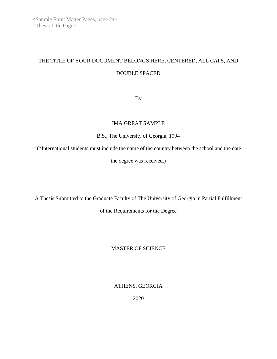## THE TITLE OF YOUR DOCUMENT BELONGS HERE, CENTERED, ALL CAPS, AND DOUBLE SPACED

By

## IMA GREAT SAMPLE

B.S., The University of Georgia, 1994

(\*International students must include the name of the country between the school and the date

the degree was received.)

A Thesis Submitted to the Graduate Faculty of The University of Georgia in Partial Fulfillment

of the Requirements for the Degree

## MASTER OF SCIENCE

ATHENS, GEORGIA

2020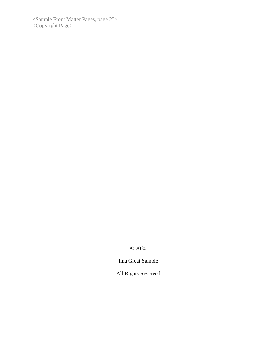<Sample Front Matter Pages, page 25> <Copyright Page>

© 2020

Ima Great Sample

All Rights Reserved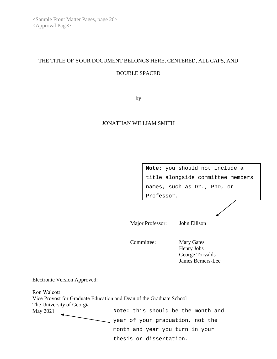# THE TITLE OF YOUR DOCUMENT BELONGS HERE, CENTERED, ALL CAPS, AND

## DOUBLE SPACED

by

#### JONATHAN WILLIAM SMITH

**Note:** you should not include a title alongside committee members names, such as Dr., PhD, or Professor.

Major Professor: John Ellison

thesis or dissertation.

Committee: Mary Gates

Henry Jobs George Torvalds James Berners-Lee

Electronic Version Approved:

Ron Walcott Vice Provost for Graduate Education and Dean of the Graduate School The University of Georgia May 2021 **Note:** this should be the month and year of your graduation, not the month and year you turn in your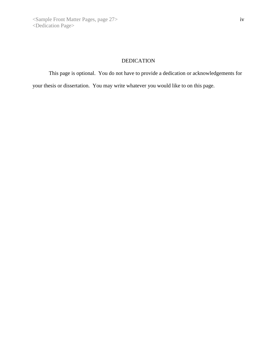## DEDICATION

This page is optional. You do not have to provide a dedication or acknowledgements for

your thesis or dissertation. You may write whatever you would like to on this page.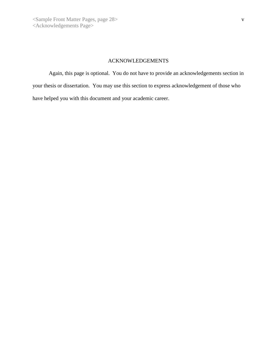## ACKNOWLEDGEMENTS

Again, this page is optional. You do not have to provide an acknowledgements section in your thesis or dissertation. You may use this section to express acknowledgement of those who have helped you with this document and your academic career.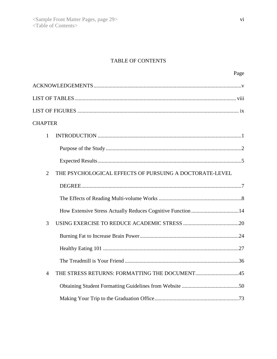## TABLE OF CONTENTS

| Page                                                                      |
|---------------------------------------------------------------------------|
|                                                                           |
|                                                                           |
|                                                                           |
| <b>CHAPTER</b>                                                            |
| 1                                                                         |
|                                                                           |
|                                                                           |
| $\overline{2}$<br>THE PSYCHOLOGICAL EFFECTS OF PURSUING A DOCTORATE-LEVEL |
|                                                                           |
|                                                                           |
|                                                                           |
| 3                                                                         |
|                                                                           |
|                                                                           |
|                                                                           |
| THE STRESS RETURNS: FORMATTING THE DOCUMENT45<br>4                        |
|                                                                           |
|                                                                           |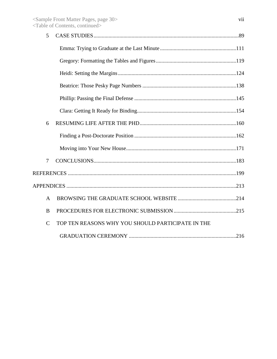| 5              |                                                   |  |
|----------------|---------------------------------------------------|--|
|                |                                                   |  |
|                |                                                   |  |
|                |                                                   |  |
|                |                                                   |  |
|                |                                                   |  |
|                |                                                   |  |
| 6              |                                                   |  |
|                |                                                   |  |
|                |                                                   |  |
| $\overline{7}$ |                                                   |  |
|                |                                                   |  |
|                |                                                   |  |
| $\mathbf{A}$   |                                                   |  |
| B              |                                                   |  |
| $\mathcal{C}$  | TOP TEN REASONS WHY YOU SHOULD PARTICIPATE IN THE |  |
|                |                                                   |  |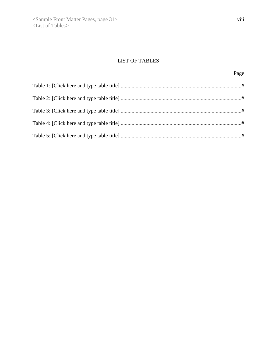## LIST OF TABLES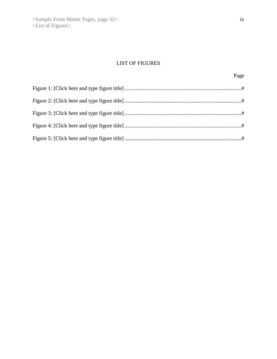## LIST OF FIGURES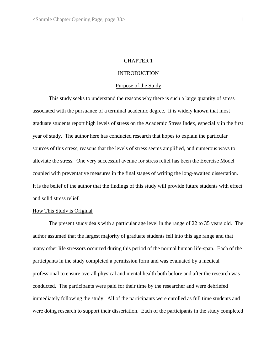#### CHAPTER 1

#### **INTRODUCTION**

#### Purpose of the Study

This study seeks to understand the reasons why there is such a large quantity of stress associated with the pursuance of a terminal academic degree. It is widely known that most graduate students report high levels of stress on the Academic Stress Index, especially in the first year of study. The author here has conducted research that hopes to explain the particular sources of this stress, reasons that the levels of stress seems amplified, and numerous ways to alleviate the stress. One very successful avenue for stress relief has been the Exercise Model coupled with preventative measures in the final stages of writing the long-awaited dissertation. It is the belief of the author that the findings of this study will provide future students with effect and solid stress relief.

#### How This Study is Original

The present study deals with a particular age level in the range of 22 to 35 years old. The author assumed that the largest majority of graduate students fell into this age range and that many other life stressors occurred during this period of the normal human life-span. Each of the participants in the study completed a permission form and was evaluated by a medical professional to ensure overall physical and mental health both before and after the research was conducted. The participants were paid for their time by the researcher and were debriefed immediately following the study. All of the participants were enrolled as full time students and were doing research to support their dissertation. Each of the participants in the study completed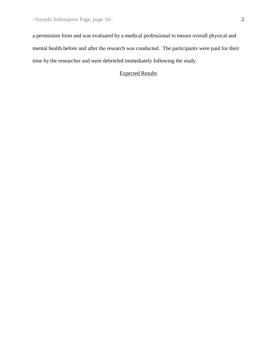a permission form and was evaluated by a medical professional to ensure overall physical and mental health before and after the research was conducted. The participants were paid for their time by the researcher and were debriefed immediately following the study.

## Expected Results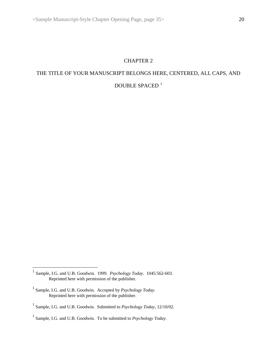## CHAPTER 2

## THE TITLE OF YOUR MANUSCRIPT BELONGS HERE, CENTERED, ALL CAPS, AND DOUBLE SPACED  $^{\mathrm{1}}$  $^{\mathrm{1}}$  $^{\mathrm{1}}$

<span id="page-35-0"></span><sup>1</sup> Sample, I.G. and U.B. Goodwin. 1999. *Psychology Today*. 1045:562-603. Reprinted here with permission of the publisher.

<sup>1</sup> Sample, I.G. and U.B. Goodwin. Accepted by *Psychology Today*. Reprinted here with permission of the publisher.

<sup>1</sup> Sample, I.G. and U.B. Goodwin. Submitted to *Psychology Today*, 12/10/02.

<sup>1</sup> Sample, I.G. and U.B. Goodwin. To be submitted to *Psychology Today*.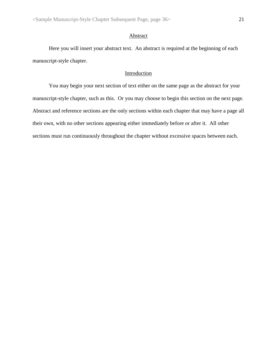#### Abstract

Here you will insert your abstract text. An abstract is required at the beginning of each manuscript-style chapter.

## Introduction

You may begin your next section of text either on the same page as the abstract for your manuscript-style chapter, such as this. Or you may choose to begin this section on the next page. Abstract and reference sections are the only sections within each chapter that may have a page all their own, with no other sections appearing either immediately before or after it. All other sections must run continuously throughout the chapter without excessive spaces between each.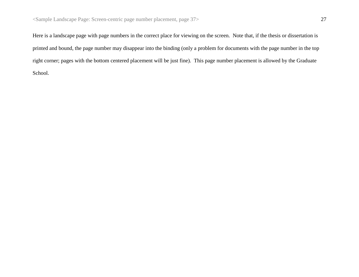Here is a landscape page with page numbers in the correct place for viewing on the screen. Note that, if the thesis or dissertation is printed and bound, the page number may disappear into the binding (only a problem for documents with the page number in the top right corner; pages with the bottom centered placement will be just fine). This page number placement is allowed by the Graduate School.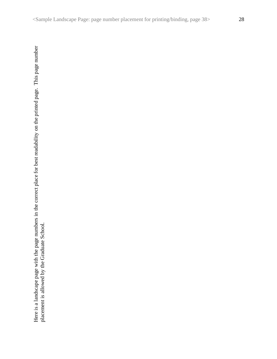Here is a landscape page with the page numbers in the correct place for best readability on the printed page. This page number placement is allowed by the Graduate School. Here is a landscape page with the page numbers in the correct place for best readability on the printed page. This page number placement is allowed by the Graduate School.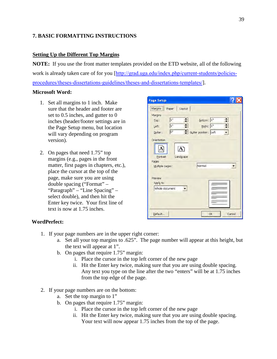## **7. BASIC FORMATTING INSTRUCTIONS**

## **Setting Up the Different Top Margins**

**NOTE:** If you use the front matter templates provided on the ETD website, all of the following work is already taken care of for you [[http://grad.uga.edu/index.php/current-students/policies](http://grad.uga.edu/index.php/current-students/policies-procedures/theses-dissertations-guidelines/theses-and-dissertations-templates/)[procedures/theses-dissertations-guidelines/theses-and-dissertations-templates/](http://grad.uga.edu/index.php/current-students/policies-procedures/theses-dissertations-guidelines/theses-and-dissertations-templates/)].

## **Microsoft Word:**

- 1. Set all margins to 1 inch. Make sure that the header and footer are set to 0.5 inches, and gutter to 0 inches (header/footer settings are in the Page Setup menu, but location will vary depending on program version).
- 2. On pages that need 1.75" top margins (e.g., pages in the front matter, first pages in chapters, etc.), place the cursor at the top of the page, make sure you are using double spacing ("Format" – "Paragraph" – "Line Spacing" – select double), and then hit the Enter key twice. Your first line of text is now at 1.75 inches.

| <b>Page Setup</b>                                            |                       |                |        |
|--------------------------------------------------------------|-----------------------|----------------|--------|
| Layout<br>Paper<br>Margins                                   |                       |                |        |
| Margins<br>1"<br>$\stackrel{\blacktriangle}{\bm{v}}$<br>Top: | Bottom:               | 1 <sup>n</sup> | ≑      |
| $\stackrel{\blacktriangle}{\bm{}}$<br>1"<br>Left:            | Right: 1"             |                | $\div$ |
| o"<br>$\div$<br>Gutter:                                      | Gutter position: Left |                |        |
| Orientation                                                  |                       |                |        |
|                                                              |                       |                |        |
| Landscape<br>Portrait                                        |                       |                |        |
| Pages                                                        |                       |                |        |
| Multiple pages:                                              | Normal                |                | ▼      |
| Preview                                                      |                       |                |        |
| Apply to:                                                    |                       |                |        |
| Whole document                                               |                       |                |        |
|                                                              |                       |                |        |
|                                                              |                       |                |        |
|                                                              |                       |                |        |
| Default                                                      |                       | OK             | Cancel |

## **WordPerfect:**

- 1. If your page numbers are in the upper right corner:
	- a. Set all your top margins to .625". The page number will appear at this height, but the text will appear at 1".
	- b. On pages that require 1.75" margin:
		- i. Place the cursor in the top left corner of the new page
		- ii. Hit the Enter key twice, making sure that you are using double spacing. Any text you type on the line after the two "enters" will be at 1.75 inches from the top edge of the page.
- 2. If your page numbers are on the bottom:
	- a. Set the top margin to 1"
	- b. On pages that require 1.75" margin:
		- i. Place the cursor in the top left corner of the new page
		- ii. Hit the Enter key twice, making sure that you are using double spacing. Your text will now appear 1.75 inches from the top of the page.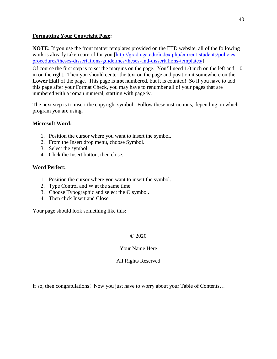## **Formatting Your Copyright Page:**

**NOTE:** If you use the front matter templates provided on the ETD website, all of the following work is already taken care of for you [[http://grad.uga.edu/index.php/current-students/policies](http://grad.uga.edu/index.php/current-students/policies-procedures/theses-dissertations-guidelines/theses-and-dissertations-templates/)[procedures/theses-dissertations-guidelines/theses-and-dissertations-templates/](http://grad.uga.edu/index.php/current-students/policies-procedures/theses-dissertations-guidelines/theses-and-dissertations-templates/)].

Of course the first step is to set the margins on the page. You'll need 1.0 inch on the left and 1.0 in on the right. Then you should center the text on the page and position it somewhere on the **Lower Half** of the page. This page is **not** numbered, but it is counted! So if you have to add this page after your Format Check, you may have to renumber all of your pages that are numbered with a roman numeral, starting with page **iv**.

The next step is to insert the copyright symbol. Follow these instructions, depending on which program you are using.

## **Microsoft Word:**

- 1. Position the cursor where you want to insert the symbol.
- 2. From the Insert drop menu, choose Symbol.
- 3. Select the symbol.
- 4. Click the Insert button, then close.

## **Word Perfect:**

- 1. Position the cursor where you want to insert the symbol.
- 2. Type Control and W at the same time.
- 3. Choose Typographic and select the © symbol.
- 4. Then click Insert and Close.

Your page should look something like this:

#### © 2020

#### Your Name Here

#### All Rights Reserved

If so, then congratulations! Now you just have to worry about your Table of Contents…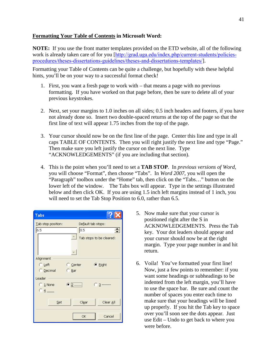## **Formatting Your Table of Contents in Microsoft Word:**

**NOTE:** If you use the front matter templates provided on the ETD website, all of the following work is already taken care of for you [[http://grad.uga.edu/index.php/current-students/policies](http://grad.uga.edu/index.php/current-students/policies-procedures/theses-dissertations-guidelines/theses-and-dissertations-templates/)[procedures/theses-dissertations-guidelines/theses-and-dissertations-templates/](http://grad.uga.edu/index.php/current-students/policies-procedures/theses-dissertations-guidelines/theses-and-dissertations-templates/)].

Formatting your Table of Contents can be quite a challenge, but hopefully with these helpful hints, you'll be on your way to a successful format check!

- 1. First, you want a fresh page to work with that means a page with no previous formatting. If you have worked on that page before, then be sure to delete all of your previous keystrokes.
- 2. Next, set your margins to 1.0 inches on all sides; 0.5 inch headers and footers, if you have not already done so. Insert two double-spaced returns at the top of the page so that the first line of text will appear 1.75 inches from the top of the page.
- 3. Your cursor should now be on the first line of the page. Center this line and type in all caps TABLE OF CONTENTS. Then you will right justify the next line and type "Page." Then make sure you left justify the cursor on the next line. Type "ACKNOWLEDGEMENTS" (if you are including that section).
- 4. This is the point when you'll need to set a **TAB STOP**. In *previous versions of Word*, you will choose "Format", then choose "Tabs". In *Word 2007*, you will open the "Paragraph" toolbox under the "Home" tab, then click on the "Tabs…" button on the lower left of the window. The Tabs box will appear. Type in the settings illustrated below and then click OK. If you are using 1.5 inch left margins instead of 1 inch, you will need to set the Tab Stop Position to 6.0, rather than 6.5.

| Tabs                                     |                            |  |  |  |
|------------------------------------------|----------------------------|--|--|--|
| Lab stop position:<br>Default tab stops: |                            |  |  |  |
| 6.5                                      | $\overline{0.5}$<br>$\div$ |  |  |  |
|                                          | Tab stops to be cleared:   |  |  |  |
| Alignment                                |                            |  |  |  |
| $\bigcirc$ Left                          | Center<br>● Right          |  |  |  |
| <b>C</b> Decimal                         | $\bigcirc$ Bar             |  |  |  |
| Leader                                   |                            |  |  |  |
| $\odot$ 1 None                           | $\bullet$ 2<br>⊙ з ------- |  |  |  |
| @4                                       |                            |  |  |  |
| Set                                      | Clear All<br>Clear         |  |  |  |
|                                          | Cancel<br>OK               |  |  |  |

- 5. Now make sure that your cursor is positioned right after the S in ACKNOWLEDGEMENTS. Press the Tab key. Your dot leaders should appear and your cursor should now be at the right margin. Type your page number in and hit return.
- 6. Voila! You've formatted your first line! Now, just a few points to remember: if you want some headings or subheadings to be indented from the left margin, you'll have to use the space bar. Be sure and count the number of spaces you enter each time to make sure that your headings will be lined up properly. If you hit the Tab key to space over you'll soon see the dots appear. Just use Edit – Undo to get back to where you were before.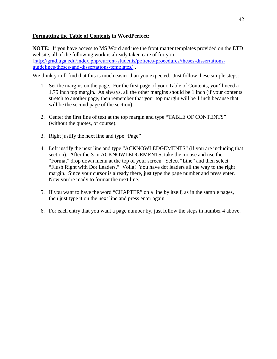## **Formatting the Table of Contents in WordPerfect:**

**NOTE:** If you have access to MS Word and use the front matter templates provided on the ETD website, all of the following work is already taken care of for you [[http://grad.uga.edu/index.php/current-students/policies-procedures/theses-dissertations](http://grad.uga.edu/index.php/current-students/policies-procedures/theses-dissertations-guidelines/theses-and-dissertations-templates/)[guidelines/theses-and-dissertations-templates/](http://grad.uga.edu/index.php/current-students/policies-procedures/theses-dissertations-guidelines/theses-and-dissertations-templates/)].

We think you'll find that this is much easier than you expected. Just follow these simple steps:

- 1. Set the margins on the page. For the first page of your Table of Contents, you'll need a 1.75 inch top margin. As always, all the other margins should be 1 inch (if your contents stretch to another page, then remember that your top margin will be 1 inch because that will be the second page of the section).
- 2. Center the first line of text at the top margin and type "TABLE OF CONTENTS" (without the quotes, of course).
- 3. Right justify the next line and type "Page"
- 4. Left justify the next line and type "ACKNOWLEDGEMENTS" (if you are including that section). After the S in ACKNOWLEDGEMENTS, take the mouse and use the "Format" drop down menu at the top of your screen. Select "Line" and then select "Flush Right with Dot Leaders." Voila! You have dot leaders all the way to the right margin. Since your cursor is already there, just type the page number and press enter. Now you're ready to format the next line.
- 5. If you want to have the word "CHAPTER" on a line by itself, as in the sample pages, then just type it on the next line and press enter again.
- 6. For each entry that you want a page number by, just follow the steps in number 4 above.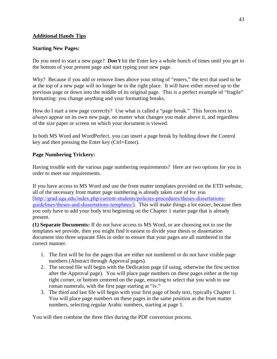## **Additional Handy Tips**

#### **Starting New Pages:**

Do you need to start a new page? *Don't* hit the Enter key a whole bunch of times until you get to the bottom of your present page and start typing your new page.

Why? Because if you add or remove lines above your string of "enters," the text that used to be at the top of a new page will no longer be in the right place. It will have either moved up to the previous page or down into the middle of its original page. This is a perfect example of "fragile" formatting: you change anything and your formatting breaks.

How do I start a new page correctly? Use what is called a "page break." This forces text to *always* appear on its own new page, no matter what changes you make above it, and regardless of the size paper or screen on which your document is viewed.

In both MS Word and WordPerfect, you can insert a page break by holding down the Control key and then pressing the Enter key (Ctrl+Enter).

## **Page Numbering Trickery:**

Having trouble with the various page numbering requirements? Here are two options for you in order to meet our requirements.

If you have access to MS Word and use the front matter templates provided on the ETD website, all of the necessary front matter page numbering is already taken care of for you [[http://grad.uga.edu/index.php/current-students/policies-procedures/theses-dissertations](http://grad.uga.edu/index.php/current-students/policies-procedures/theses-dissertations-guidelines/theses-and-dissertations-templates/)[guidelines/theses-and-dissertations-templates/](http://grad.uga.edu/index.php/current-students/policies-procedures/theses-dissertations-guidelines/theses-and-dissertations-templates/)]. This will make things a lot easier, because then you only have to add your body text beginning on the Chapter 1 starter page that is already present.

**(1) Separate Documents:** If do not have access to MS Word, or are choosing not to use the templates we provide, then you might find it easiest to divide your thesis or dissertation document into three separate files in order to ensure that your pages are all numbered in the correct manner.

- 1. The first will be for the pages that are either not numbered or do not have visible page numbers (Abstract through Approval pages).
- 2. The second file will begin with the Dedication page (if using, otherwise the first section after the Approval page). You will place page numbers on these pages either at the top right corner, or bottom centered on the page, ensuring to select that you wish to use roman numerals, with the first page starting at "iv."
- 3. The third and last file will begin with your first page of body text, typically Chapter 1. You will place page numbers on these pages in the same position as the front matter numbers, selecting regular Arabic numbers, starting at page 1.

You will then combine the three files during the PDF conversion process.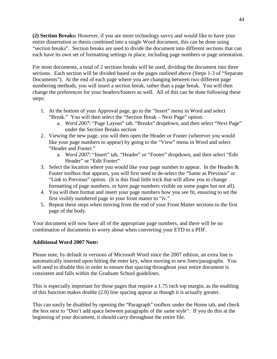**(2) Section Breaks:** However, if you are more technology savvy and would like to have your entire dissertation or thesis combined into a single Word document, this can be done using "section breaks". Section breaks are used to divide the document into different sections that can each have its own set of formatting settings in place, including page numbers or page orientation.

For most documents, a total of 2 sections breaks will be used, dividing the document into three sections. Each section will be divided based on the pages outlined above (Steps 1-3 of "Separate Documents"). At the end of each page where you are changing between two different page numbering methods, you will insert a section break, rather than a page break. You will then change the preferences for your headers/footers as well. All of this can be done following these steps:

- 1. At the bottom of your Approval page, go to the "Insert" menu in Word and select "Break." You will then select the "Section Break – Next Page" option.
	- a. *Word 2007*: "Page Layout" tab, "Breaks" dropdown, and then select "Next Page" under the Section Breaks section
- 2. Viewing the new page, you will then open the Header or Footer (wherever you would like your page numbers to appear) by going to the "View" menu in Word and select "Header and Footer."
	- a. *Word 2007*: "Insert" tab, "Header" or "Footer" dropdown, and then select "Edit Header" or "Edit Footer"
- 3. Select the location where you would like your page number to appear. In the Header  $\&$ Footer toolbox that appears, you will first need to de-select the "Same as Previous" or "Link to Previous" option. (It is this final little trick that will allow you to change formatting of page numbers, or have page numbers visible on some pages but not all).
- 4. You will then format and insert your page numbers how you see fit, ensuring to set the first visibly numbered page in your front matter to "iv."
- 5. Repeat these steps when moving from the end of your Front Matter sections to the first page of the body.

Your document will now have all of the appropriate page numbers, and there will be no combination of documents to worry about when converting your ETD to a PDF.

## **Additional Word 2007 Note:**

Please note, by default in versions of Microsoft Word since the 2007 edition, an extra line is automatically inserted upon hitting the enter key, when moving to new lines/paragraphs. You will need to disable this in order to ensure that spacing throughout your entire document is consistent and falls within the Graduate School guidelines.

This is especially important for those pages that require a 1.75 inch top margin, as the enabling of this function makes double (2.0) line spacing appear as though it is actually greater.

This can easily be disabled by opening the "Paragraph" toolbox under the Home tab, and check the box next to "Don't add space between paragraphs of the same style". If you do this at the beginning of your document, it should carry throughout the entire file.